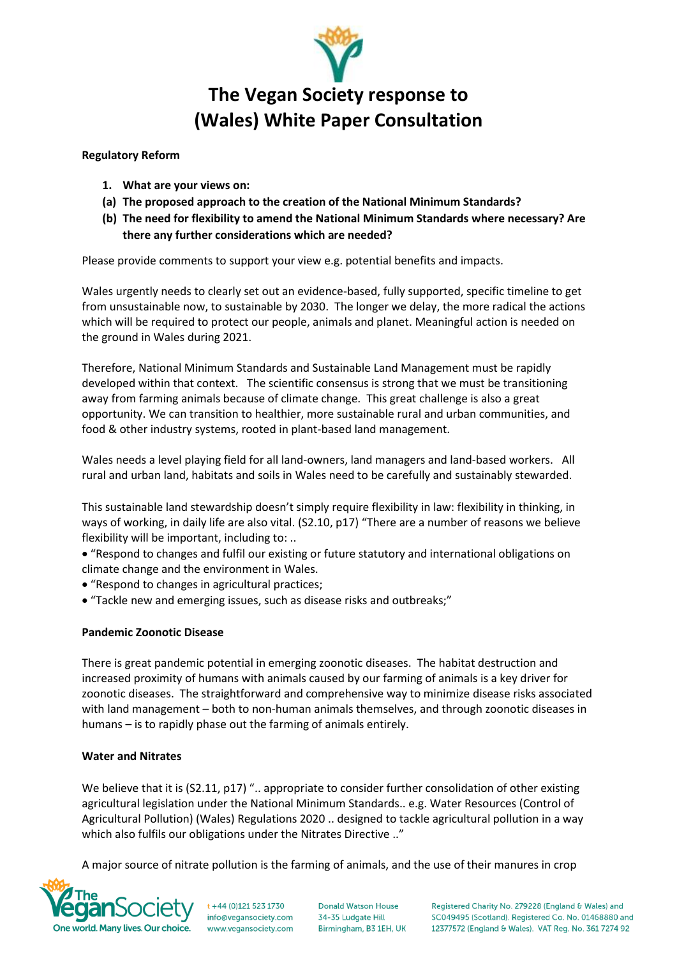

# **The Vegan Society response to (Wales) White Paper Consultation**

## **Regulatory Reform**

- **1. What are your views on:**
- **(a) The proposed approach to the creation of the National Minimum Standards?**
- **(b) The need for flexibility to amend the National Minimum Standards where necessary? Are there any further considerations which are needed?**

Please provide comments to support your view e.g. potential benefits and impacts.

Wales urgently needs to clearly set out an evidence-based, fully supported, specific timeline to get from unsustainable now, to sustainable by 2030. The longer we delay, the more radical the actions which will be required to protect our people, animals and planet. Meaningful action is needed on the ground in Wales during 2021.

Therefore, National Minimum Standards and Sustainable Land Management must be rapidly developed within that context. The scientific consensus is strong that we must be transitioning away from farming animals because of climate change. This great challenge is also a great opportunity. We can transition to healthier, more sustainable rural and urban communities, and food & other industry systems, rooted in plant-based land management.

Wales needs a level playing field for all land-owners, land managers and land-based workers. All rural and urban land, habitats and soils in Wales need to be carefully and sustainably stewarded.

This sustainable land stewardship doesn't simply require flexibility in law: flexibility in thinking, in ways of working, in daily life are also vital. (S2.10, p17) "There are a number of reasons we believe flexibility will be important, including to: ..

• "Respond to changes and fulfil our existing or future statutory and international obligations on climate change and the environment in Wales.

- "Respond to changes in agricultural practices;
- "Tackle new and emerging issues, such as disease risks and outbreaks;"

# **Pandemic Zoonotic Disease**

There is great pandemic potential in emerging zoonotic diseases. The habitat destruction and increased proximity of humans with animals caused by our farming of animals is a key driver for zoonotic diseases. The straightforward and comprehensive way to minimize disease risks associated with land management – both to non-human animals themselves, and through zoonotic diseases in humans – is to rapidly phase out the farming of animals entirely.

## **Water and Nitrates**

We believe that it is (S2.11, p17) ".. appropriate to consider further consolidation of other existing agricultural legislation under the National Minimum Standards.. e.g. Water Resources (Control of Agricultural Pollution) (Wales) Regulations 2020 .. designed to tackle agricultural pollution in a way which also fulfils our obligations under the Nitrates Directive .."

A major source of nitrate pollution is the farming of animals, and the use of their manures in crop



 $t + 44 (0)121 523 1730$ info@vegansociety.com www.vegansociety.com

**Donald Watson House** 34-35 Ludgate Hill Birmingham, B3 1EH, UK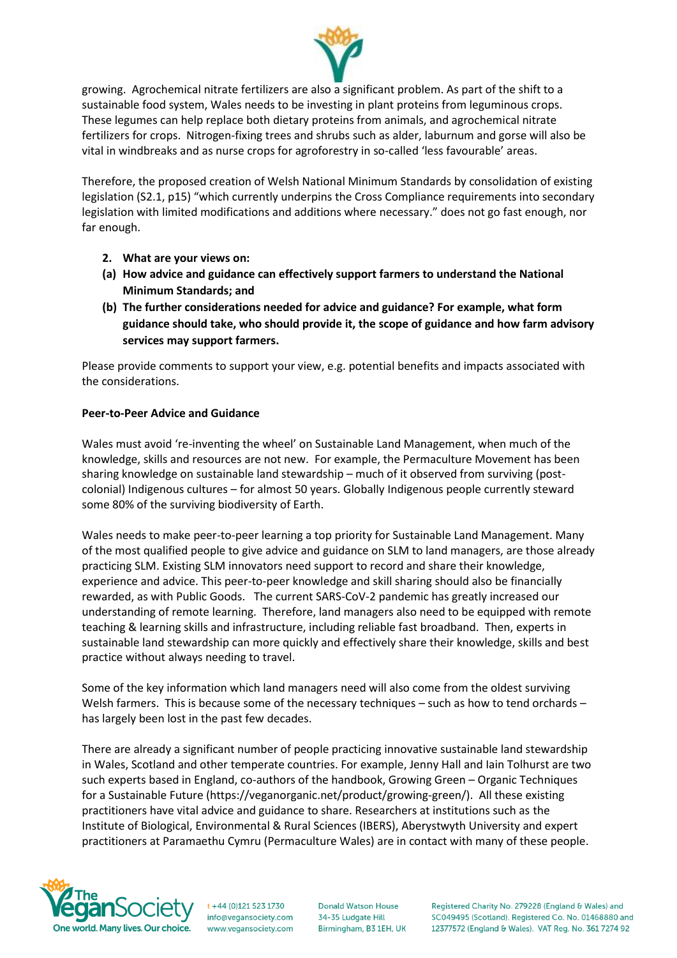

growing. Agrochemical nitrate fertilizers are also a significant problem. As part of the shift to a sustainable food system, Wales needs to be investing in plant proteins from leguminous crops. These legumes can help replace both dietary proteins from animals, and agrochemical nitrate fertilizers for crops. Nitrogen-fixing trees and shrubs such as alder, laburnum and gorse will also be vital in windbreaks and as nurse crops for agroforestry in so-called 'less favourable' areas.

Therefore, the proposed creation of Welsh National Minimum Standards by consolidation of existing legislation (S2.1, p15) "which currently underpins the Cross Compliance requirements into secondary legislation with limited modifications and additions where necessary." does not go fast enough, nor far enough.

- **2. What are your views on:**
- **(a) How advice and guidance can effectively support farmers to understand the National Minimum Standards; and**
- **(b) The further considerations needed for advice and guidance? For example, what form guidance should take, who should provide it, the scope of guidance and how farm advisory services may support farmers.**

Please provide comments to support your view, e.g. potential benefits and impacts associated with the considerations.

## **Peer-to-Peer Advice and Guidance**

Wales must avoid 're-inventing the wheel' on Sustainable Land Management, when much of the knowledge, skills and resources are not new. For example, the Permaculture Movement has been sharing knowledge on sustainable land stewardship – much of it observed from surviving (postcolonial) Indigenous cultures – for almost 50 years. Globally Indigenous people currently steward some 80% of the surviving biodiversity of Earth.

Wales needs to make peer-to-peer learning a top priority for Sustainable Land Management. Many of the most qualified people to give advice and guidance on SLM to land managers, are those already practicing SLM. Existing SLM innovators need support to record and share their knowledge, experience and advice. This peer-to-peer knowledge and skill sharing should also be financially rewarded, as with Public Goods. The current SARS-CoV-2 pandemic has greatly increased our understanding of remote learning. Therefore, land managers also need to be equipped with remote teaching & learning skills and infrastructure, including reliable fast broadband. Then, experts in sustainable land stewardship can more quickly and effectively share their knowledge, skills and best practice without always needing to travel.

Some of the key information which land managers need will also come from the oldest surviving Welsh farmers. This is because some of the necessary techniques – such as how to tend orchards – has largely been lost in the past few decades.

There are already a significant number of people practicing innovative sustainable land stewardship in Wales, Scotland and other temperate countries. For example, Jenny Hall and Iain Tolhurst are two such experts based in England, co-authors of the handbook, Growing Green – Organic Techniques for a Sustainable Future (https://veganorganic.net/product/growing-green/). All these existing practitioners have vital advice and guidance to share. Researchers at institutions such as the Institute of Biological, Environmental & Rural Sciences (IBERS), Aberystwyth University and expert practitioners at Paramaethu Cymru (Permaculture Wales) are in contact with many of these people.



 $t + 44 (0)121 523 1730$ info@vegansociety.com www.vegansociety.com **Donald Watson House** 34-35 Ludgate Hill Birmingham, B3 1EH, UK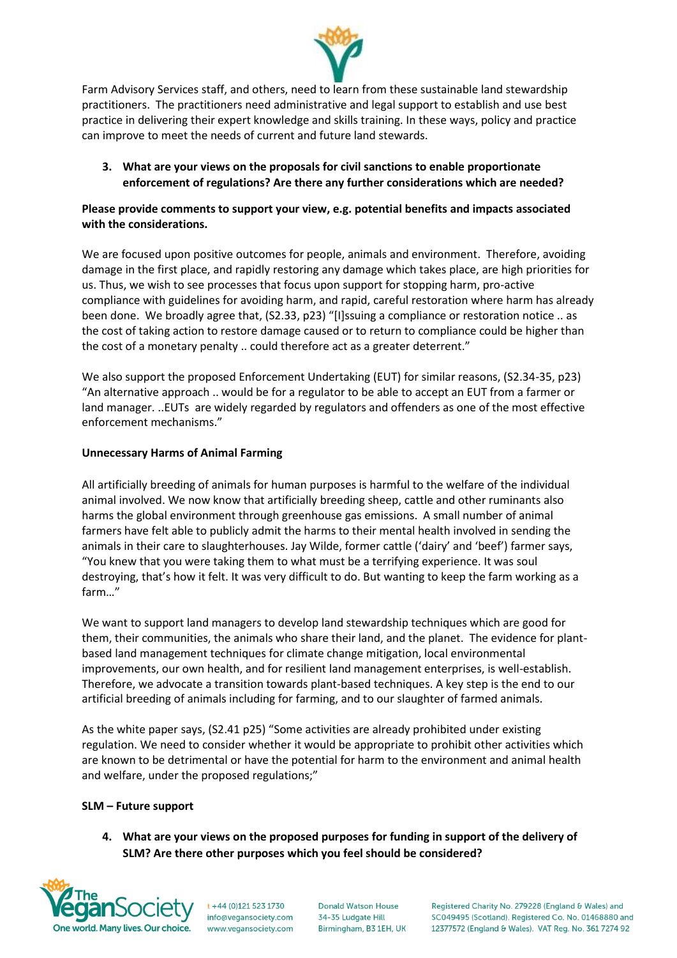

Farm Advisory Services staff, and others, need to learn from these sustainable land stewardship practitioners. The practitioners need administrative and legal support to establish and use best practice in delivering their expert knowledge and skills training. In these ways, policy and practice can improve to meet the needs of current and future land stewards.

**3. What are your views on the proposals for civil sanctions to enable proportionate enforcement of regulations? Are there any further considerations which are needed?**

# **Please provide comments to support your view, e.g. potential benefits and impacts associated with the considerations.**

We are focused upon positive outcomes for people, animals and environment. Therefore, avoiding damage in the first place, and rapidly restoring any damage which takes place, are high priorities for us. Thus, we wish to see processes that focus upon support for stopping harm, pro-active compliance with guidelines for avoiding harm, and rapid, careful restoration where harm has already been done. We broadly agree that, (S2.33, p23) "[I]ssuing a compliance or restoration notice .. as the cost of taking action to restore damage caused or to return to compliance could be higher than the cost of a monetary penalty .. could therefore act as a greater deterrent."

We also support the proposed Enforcement Undertaking (EUT) for similar reasons, (S2.34-35, p23) "An alternative approach .. would be for a regulator to be able to accept an EUT from a farmer or land manager. ..EUTs are widely regarded by regulators and offenders as one of the most effective enforcement mechanisms."

# **Unnecessary Harms of Animal Farming**

All artificially breeding of animals for human purposes is harmful to the welfare of the individual animal involved. We now know that artificially breeding sheep, cattle and other ruminants also harms the global environment through greenhouse gas emissions. A small number of animal farmers have felt able to publicly admit the harms to their mental health involved in sending the animals in their care to slaughterhouses. Jay Wilde, former cattle ('dairy' and 'beef') farmer says, "You knew that you were taking them to what must be a terrifying experience. It was soul destroying, that's how it felt. It was very difficult to do. But wanting to keep the farm working as a farm…"

We want to support land managers to develop land stewardship techniques which are good for them, their communities, the animals who share their land, and the planet. The evidence for plantbased land management techniques for climate change mitigation, local environmental improvements, our own health, and for resilient land management enterprises, is well-establish. Therefore, we advocate a transition towards plant-based techniques. A key step is the end to our artificial breeding of animals including for farming, and to our slaughter of farmed animals.

As the white paper says, (S2.41 p25) "Some activities are already prohibited under existing regulation. We need to consider whether it would be appropriate to prohibit other activities which are known to be detrimental or have the potential for harm to the environment and animal health and welfare, under the proposed regulations;"

## **SLM – Future support**

**4. What are your views on the proposed purposes for funding in support of the delivery of SLM? Are there other purposes which you feel should be considered?**



 $t + 44 (0)121 523 1730$ info@vegansociety.com www.vegansociety.com

**Donald Watson House** 34-35 Ludgate Hill Birmingham, B3 1EH, UK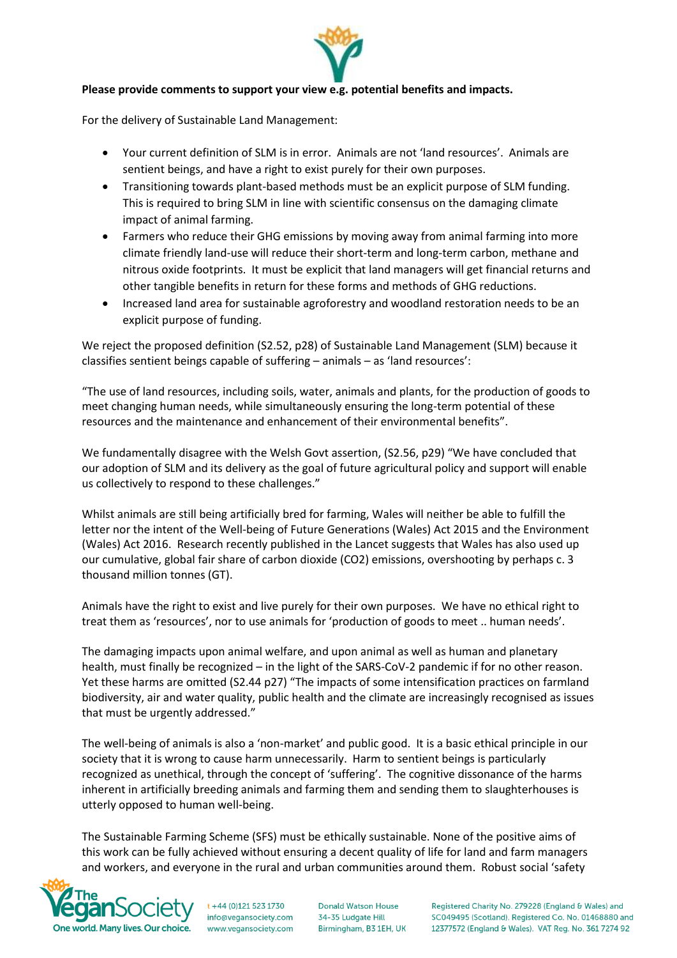

For the delivery of Sustainable Land Management:

- Your current definition of SLM is in error. Animals are not 'land resources'. Animals are sentient beings, and have a right to exist purely for their own purposes.
- Transitioning towards plant-based methods must be an explicit purpose of SLM funding. This is required to bring SLM in line with scientific consensus on the damaging climate impact of animal farming.
- Farmers who reduce their GHG emissions by moving away from animal farming into more climate friendly land-use will reduce their short-term and long-term carbon, methane and nitrous oxide footprints. It must be explicit that land managers will get financial returns and other tangible benefits in return for these forms and methods of GHG reductions.
- Increased land area for sustainable agroforestry and woodland restoration needs to be an explicit purpose of funding.

We reject the proposed definition (S2.52, p28) of Sustainable Land Management (SLM) because it classifies sentient beings capable of suffering – animals – as 'land resources':

"The use of land resources, including soils, water, animals and plants, for the production of goods to meet changing human needs, while simultaneously ensuring the long-term potential of these resources and the maintenance and enhancement of their environmental benefits".

We fundamentally disagree with the Welsh Govt assertion, (S2.56, p29) "We have concluded that our adoption of SLM and its delivery as the goal of future agricultural policy and support will enable us collectively to respond to these challenges."

Whilst animals are still being artificially bred for farming, Wales will neither be able to fulfill the letter nor the intent of the Well-being of Future Generations (Wales) Act 2015 and the Environment (Wales) Act 2016. Research recently published in the Lancet suggests that Wales has also used up our cumulative, global fair share of carbon dioxide (CO2) emissions, overshooting by perhaps c. 3 thousand million tonnes (GT).

Animals have the right to exist and live purely for their own purposes. We have no ethical right to treat them as 'resources', nor to use animals for 'production of goods to meet .. human needs'.

The damaging impacts upon animal welfare, and upon animal as well as human and planetary health, must finally be recognized – in the light of the SARS-CoV-2 pandemic if for no other reason. Yet these harms are omitted (S2.44 p27) "The impacts of some intensification practices on farmland biodiversity, air and water quality, public health and the climate are increasingly recognised as issues that must be urgently addressed."

The well-being of animals is also a 'non-market' and public good. It is a basic ethical principle in our society that it is wrong to cause harm unnecessarily. Harm to sentient beings is particularly recognized as unethical, through the concept of 'suffering'. The cognitive dissonance of the harms inherent in artificially breeding animals and farming them and sending them to slaughterhouses is utterly opposed to human well-being.

The Sustainable Farming Scheme (SFS) must be ethically sustainable. None of the positive aims of this work can be fully achieved without ensuring a decent quality of life for land and farm managers and workers, and everyone in the rural and urban communities around them. Robust social 'safety



 $t + 44 (0)121 523 1730$ info@vegansociety.com www.vegansociety.com

**Donald Watson House** 34-35 Ludgate Hill Birmingham, B3 1EH, UK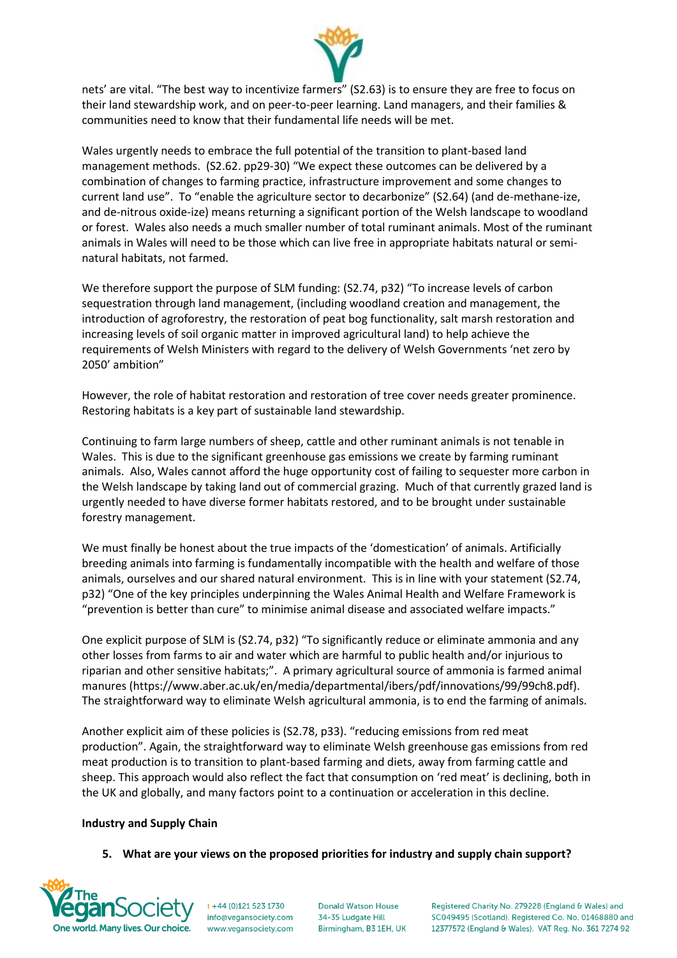

nets' are vital. "The best way to incentivize farmers" (S2.63) is to ensure they are free to focus on their land stewardship work, and on peer-to-peer learning. Land managers, and their families & communities need to know that their fundamental life needs will be met.

Wales urgently needs to embrace the full potential of the transition to plant-based land management methods. (S2.62. pp29-30) "We expect these outcomes can be delivered by a combination of changes to farming practice, infrastructure improvement and some changes to current land use". To "enable the agriculture sector to decarbonize" (S2.64) (and de-methane-ize, and de-nitrous oxide-ize) means returning a significant portion of the Welsh landscape to woodland or forest. Wales also needs a much smaller number of total ruminant animals. Most of the ruminant animals in Wales will need to be those which can live free in appropriate habitats natural or seminatural habitats, not farmed.

We therefore support the purpose of SLM funding: (S2.74, p32) "To increase levels of carbon sequestration through land management, (including woodland creation and management, the introduction of agroforestry, the restoration of peat bog functionality, salt marsh restoration and increasing levels of soil organic matter in improved agricultural land) to help achieve the requirements of Welsh Ministers with regard to the delivery of Welsh Governments 'net zero by 2050' ambition"

However, the role of habitat restoration and restoration of tree cover needs greater prominence. Restoring habitats is a key part of sustainable land stewardship.

Continuing to farm large numbers of sheep, cattle and other ruminant animals is not tenable in Wales. This is due to the significant greenhouse gas emissions we create by farming ruminant animals. Also, Wales cannot afford the huge opportunity cost of failing to sequester more carbon in the Welsh landscape by taking land out of commercial grazing. Much of that currently grazed land is urgently needed to have diverse former habitats restored, and to be brought under sustainable forestry management.

We must finally be honest about the true impacts of the 'domestication' of animals. Artificially breeding animals into farming is fundamentally incompatible with the health and welfare of those animals, ourselves and our shared natural environment. This is in line with your statement (S2.74, p32) "One of the key principles underpinning the Wales Animal Health and Welfare Framework is "prevention is better than cure" to minimise animal disease and associated welfare impacts."

One explicit purpose of SLM is (S2.74, p32) "To significantly reduce or eliminate ammonia and any other losses from farms to air and water which are harmful to public health and/or injurious to riparian and other sensitive habitats;". A primary agricultural source of ammonia is farmed animal manures (https://www.aber.ac.uk/en/media/departmental/ibers/pdf/innovations/99/99ch8.pdf). The straightforward way to eliminate Welsh agricultural ammonia, is to end the farming of animals.

Another explicit aim of these policies is (S2.78, p33). "reducing emissions from red meat production". Again, the straightforward way to eliminate Welsh greenhouse gas emissions from red meat production is to transition to plant-based farming and diets, away from farming cattle and sheep. This approach would also reflect the fact that consumption on 'red meat' is declining, both in the UK and globally, and many factors point to a continuation or acceleration in this decline.

## **Industry and Supply Chain**

**5. What are your views on the proposed priorities for industry and supply chain support?**



 $t + 44 (0)121 523 1730$ info@vegansociety.com www.vegansociety.com **Donald Watson House** 34-35 Ludgate Hill Birmingham, B3 1EH, UK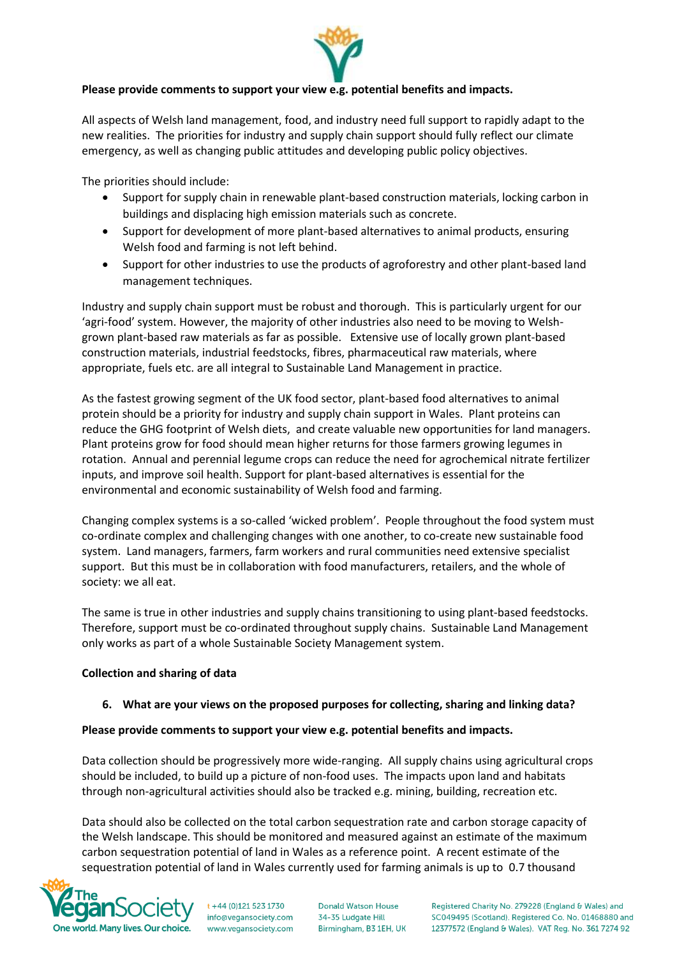

All aspects of Welsh land management, food, and industry need full support to rapidly adapt to the new realities. The priorities for industry and supply chain support should fully reflect our climate emergency, as well as changing public attitudes and developing public policy objectives.

The priorities should include:

- Support for supply chain in renewable plant-based construction materials, locking carbon in buildings and displacing high emission materials such as concrete.
- Support for development of more plant-based alternatives to animal products, ensuring Welsh food and farming is not left behind.
- Support for other industries to use the products of agroforestry and other plant-based land management techniques.

Industry and supply chain support must be robust and thorough. This is particularly urgent for our 'agri-food' system. However, the majority of other industries also need to be moving to Welshgrown plant-based raw materials as far as possible. Extensive use of locally grown plant-based construction materials, industrial feedstocks, fibres, pharmaceutical raw materials, where appropriate, fuels etc. are all integral to Sustainable Land Management in practice.

As the fastest growing segment of the UK food sector, plant-based food alternatives to animal protein should be a priority for industry and supply chain support in Wales. Plant proteins can reduce the GHG footprint of Welsh diets, and create valuable new opportunities for land managers. Plant proteins grow for food should mean higher returns for those farmers growing legumes in rotation. Annual and perennial legume crops can reduce the need for agrochemical nitrate fertilizer inputs, and improve soil health. Support for plant-based alternatives is essential for the environmental and economic sustainability of Welsh food and farming.

Changing complex systems is a so-called 'wicked problem'. People throughout the food system must co-ordinate complex and challenging changes with one another, to co-create new sustainable food system. Land managers, farmers, farm workers and rural communities need extensive specialist support. But this must be in collaboration with food manufacturers, retailers, and the whole of society: we all eat.

The same is true in other industries and supply chains transitioning to using plant-based feedstocks. Therefore, support must be co-ordinated throughout supply chains. Sustainable Land Management only works as part of a whole Sustainable Society Management system.

## **Collection and sharing of data**

## **6. What are your views on the proposed purposes for collecting, sharing and linking data?**

## **Please provide comments to support your view e.g. potential benefits and impacts.**

Data collection should be progressively more wide-ranging. All supply chains using agricultural crops should be included, to build up a picture of non-food uses. The impacts upon land and habitats through non-agricultural activities should also be tracked e.g. mining, building, recreation etc.

Data should also be collected on the total carbon sequestration rate and carbon storage capacity of the Welsh landscape. This should be monitored and measured against an estimate of the maximum carbon sequestration potential of land in Wales as a reference point. A recent estimate of the sequestration potential of land in Wales currently used for farming animals is up to 0.7 thousand



t +44 (0)121 523 1730 info@vegansociety.com www.vegansociety.com **Donald Watson House** 34-35 Ludgate Hill Birmingham, B3 1EH, UK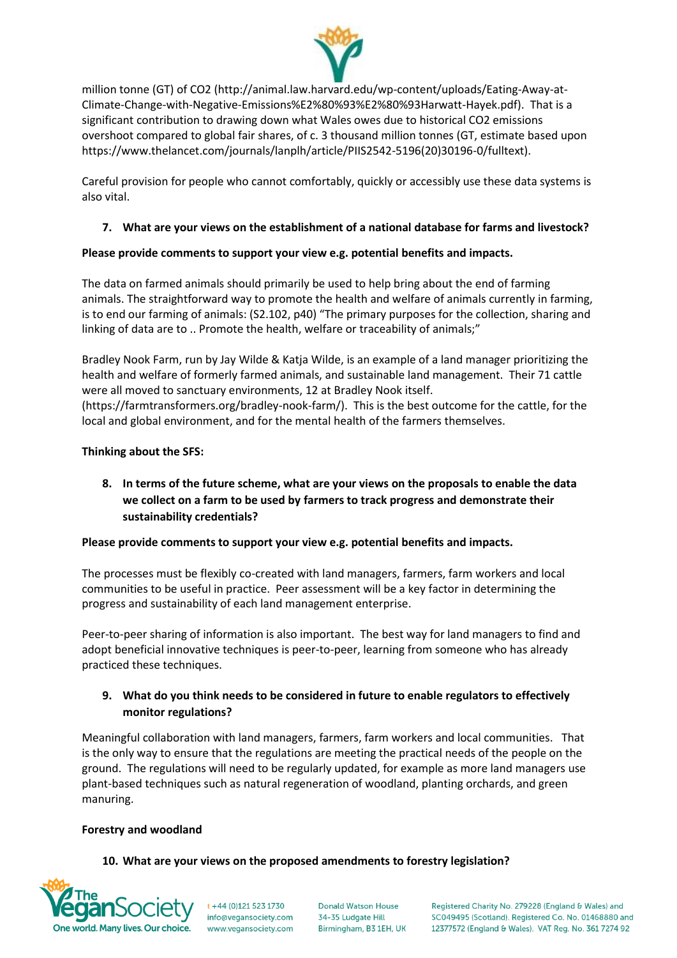

million tonne (GT) of CO2 [\(http://animal.law.harvard.edu/wp-content/uploads/Eating-Away-at-](http://animal.law.harvard.edu/wp-content/uploads/Eating-Away-at-Climate-Change-with-Negative-Emissions%E2%80%93%E2%80%93Harwatt-Hayek.pdf)[Climate-Change-with-Negative-Emissions%E2%80%93%E2%80%93Harwatt-Hayek.pdf\)](http://animal.law.harvard.edu/wp-content/uploads/Eating-Away-at-Climate-Change-with-Negative-Emissions%E2%80%93%E2%80%93Harwatt-Hayek.pdf). That is a significant contribution to drawing down what Wales owes due to historical CO2 emissions overshoot compared to global fair shares, of c. 3 thousand million tonnes (GT, estimate based upon https://www.thelancet.com/journals/lanplh/article/PIIS2542-5196(20)30196-0/fulltext).

Careful provision for people who cannot comfortably, quickly or accessibly use these data systems is also vital.

# **7. What are your views on the establishment of a national database for farms and livestock?**

# **Please provide comments to support your view e.g. potential benefits and impacts.**

The data on farmed animals should primarily be used to help bring about the end of farming animals. The straightforward way to promote the health and welfare of animals currently in farming, is to end our farming of animals: (S2.102, p40) "The primary purposes for the collection, sharing and linking of data are to .. Promote the health, welfare or traceability of animals;"

Bradley Nook Farm, run by Jay Wilde & Katja Wilde, is an example of a land manager prioritizing the health and welfare of formerly farmed animals, and sustainable land management. Their 71 cattle were all moved to sanctuary environments, 12 at Bradley Nook itself. [\(https://farmtransformers.org/bradley-nook-farm/\)](https://farmtransformers.org/bradley-nook-farm/). This is the best outcome for the cattle, for the local and global environment, and for the mental health of the farmers themselves.

# **Thinking about the SFS:**

**8. In terms of the future scheme, what are your views on the proposals to enable the data we collect on a farm to be used by farmers to track progress and demonstrate their sustainability credentials?**

## **Please provide comments to support your view e.g. potential benefits and impacts.**

The processes must be flexibly co-created with land managers, farmers, farm workers and local communities to be useful in practice. Peer assessment will be a key factor in determining the progress and sustainability of each land management enterprise.

Peer-to-peer sharing of information is also important. The best way for land managers to find and adopt beneficial innovative techniques is peer-to-peer, learning from someone who has already practiced these techniques.

# **9. What do you think needs to be considered in future to enable regulators to effectively monitor regulations?**

Meaningful collaboration with land managers, farmers, farm workers and local communities. That is the only way to ensure that the regulations are meeting the practical needs of the people on the ground. The regulations will need to be regularly updated, for example as more land managers use plant-based techniques such as natural regeneration of woodland, planting orchards, and green manuring.

## **Forestry and woodland**

## **10. What are your views on the proposed amendments to forestry legislation?**



 $t + 44 (0)121 523 1730$ info@vegansociety.com www.vegansociety.com

**Donald Watson House** 34-35 Ludgate Hill Birmingham, B3 1EH, UK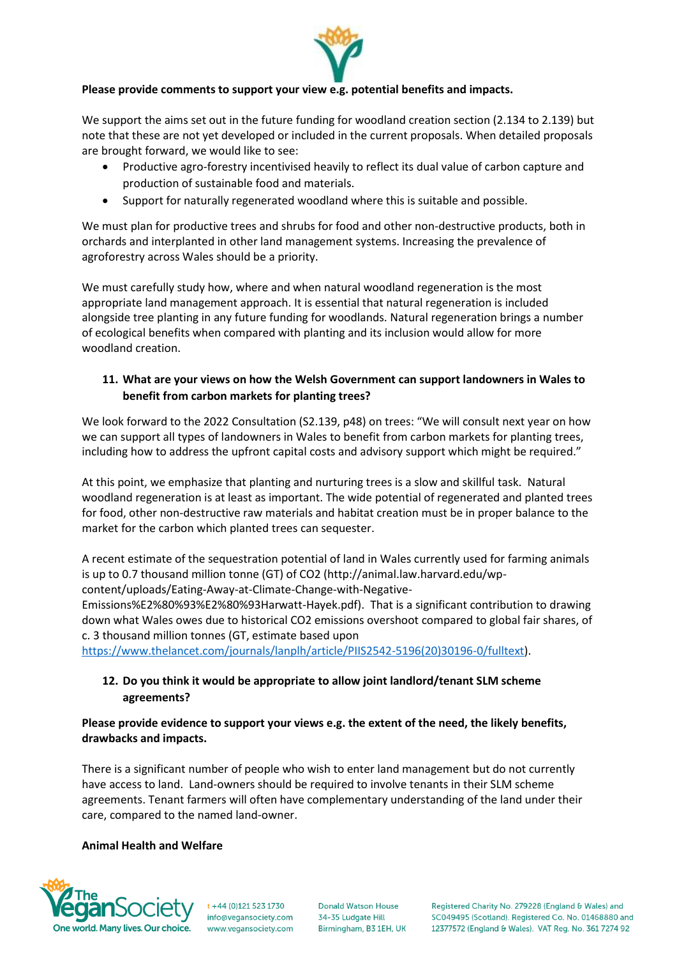

We support the aims set out in the future funding for woodland creation section (2.134 to 2.139) but note that these are not yet developed or included in the current proposals. When detailed proposals are brought forward, we would like to see:

- Productive agro-forestry incentivised heavily to reflect its dual value of carbon capture and production of sustainable food and materials.
- Support for naturally regenerated woodland where this is suitable and possible.

We must plan for productive trees and shrubs for food and other non-destructive products, both in orchards and interplanted in other land management systems. Increasing the prevalence of agroforestry across Wales should be a priority.

We must carefully study how, where and when natural woodland regeneration is the most appropriate land management approach. It is essential that natural regeneration is included alongside tree planting in any future funding for woodlands. Natural regeneration brings a number of ecological benefits when compared with planting and its inclusion would allow for more woodland creation.

# **11. What are your views on how the Welsh Government can support landowners in Wales to benefit from carbon markets for planting trees?**

We look forward to the 2022 Consultation (S2.139, p48) on trees: "We will consult next year on how we can support all types of landowners in Wales to benefit from carbon markets for planting trees, including how to address the upfront capital costs and advisory support which might be required."

At this point, we emphasize that planting and nurturing trees is a slow and skillful task. Natural woodland regeneration is at least as important. The wide potential of regenerated and planted trees for food, other non-destructive raw materials and habitat creation must be in proper balance to the market for the carbon which planted trees can sequester.

A recent estimate of the sequestration potential of land in Wales currently used for farming animals is up to 0.7 thousand million tonne (GT) of CO2 (http://animal.law.harvard.edu/wpcontent/uploads/Eating-Away-at-Climate-Change-with-Negative-

Emissions%E2%80%93%E2%80%93Harwatt-Hayek.pdf). That is a significant contribution to drawing down what Wales owes due to historical CO2 emissions overshoot compared to global fair shares, of c. 3 thousand million tonnes (GT, estimate based upon

[https://www.thelancet.com/journals/lanplh/article/PIIS2542-5196\(20\)30196-0/fulltext\)](https://www.thelancet.com/journals/lanplh/article/PIIS2542-5196(20)30196-0/fulltext).

# **12. Do you think it would be appropriate to allow joint landlord/tenant SLM scheme agreements?**

## **Please provide evidence to support your views e.g. the extent of the need, the likely benefits, drawbacks and impacts.**

There is a significant number of people who wish to enter land management but do not currently have access to land. Land-owners should be required to involve tenants in their SLM scheme agreements. Tenant farmers will often have complementary understanding of the land under their care, compared to the named land-owner.

## **Animal Health and Welfare**



 $t + 44 (0)121 523 1730$ info@vegansociety.com www.vegansociety.com **Donald Watson House** 34-35 Ludgate Hill Birmingham, B3 1EH, UK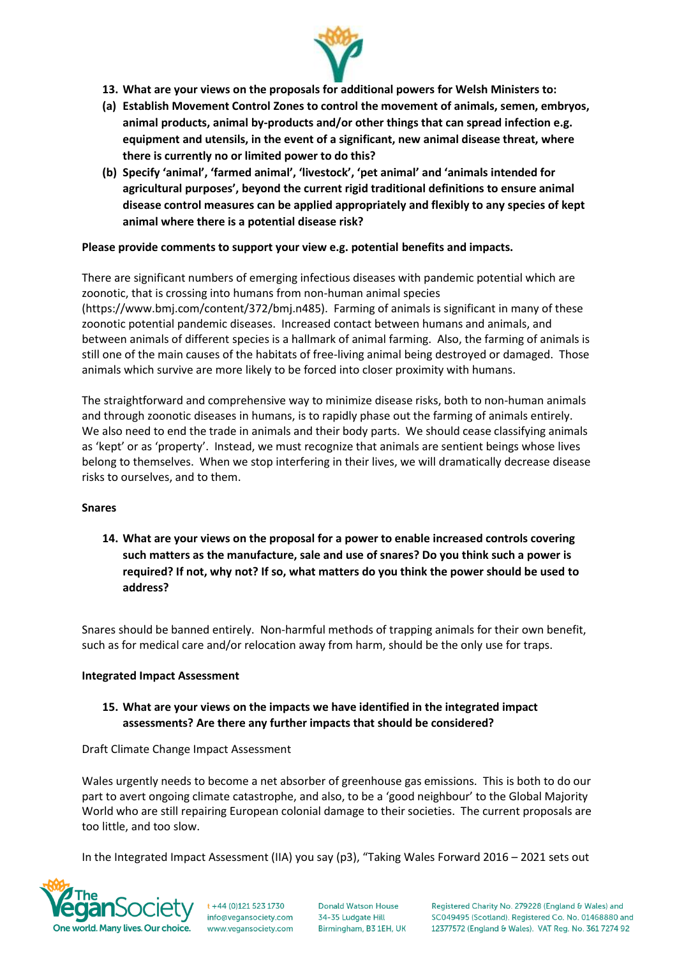

- **13. What are your views on the proposals for additional powers for Welsh Ministers to:**
- **(a) Establish Movement Control Zones to control the movement of animals, semen, embryos, animal products, animal by-products and/or other things that can spread infection e.g. equipment and utensils, in the event of a significant, new animal disease threat, where there is currently no or limited power to do this?**
- **(b) Specify 'animal', 'farmed animal', 'livestock', 'pet animal' and 'animals intended for agricultural purposes', beyond the current rigid traditional definitions to ensure animal disease control measures can be applied appropriately and flexibly to any species of kept animal where there is a potential disease risk?**

There are significant numbers of emerging infectious diseases with pandemic potential which are zoonotic, that is crossing into humans from non-human animal species (https://www.bmj.com/content/372/bmj.n485). Farming of animals is significant in many of these zoonotic potential pandemic diseases. Increased contact between humans and animals, and between animals of different species is a hallmark of animal farming. Also, the farming of animals is still one of the main causes of the habitats of free-living animal being destroyed or damaged. Those animals which survive are more likely to be forced into closer proximity with humans.

The straightforward and comprehensive way to minimize disease risks, both to non-human animals and through zoonotic diseases in humans, is to rapidly phase out the farming of animals entirely. We also need to end the trade in animals and their body parts. We should cease classifying animals as 'kept' or as 'property'. Instead, we must recognize that animals are sentient beings whose lives belong to themselves. When we stop interfering in their lives, we will dramatically decrease disease risks to ourselves, and to them.

## **Snares**

**14. What are your views on the proposal for a power to enable increased controls covering such matters as the manufacture, sale and use of snares? Do you think such a power is required? If not, why not? If so, what matters do you think the power should be used to address?**

Snares should be banned entirely. Non-harmful methods of trapping animals for their own benefit, such as for medical care and/or relocation away from harm, should be the only use for traps.

## **Integrated Impact Assessment**

# **15. What are your views on the impacts we have identified in the integrated impact assessments? Are there any further impacts that should be considered?**

## Draft Climate Change Impact Assessment

Wales urgently needs to become a net absorber of greenhouse gas emissions. This is both to do our part to avert ongoing climate catastrophe, and also, to be a 'good neighbour' to the Global Majority World who are still repairing European colonial damage to their societies. The current proposals are too little, and too slow.

In the Integrated Impact Assessment (IIA) you say (p3), "Taking Wales Forward 2016 – 2021 sets out



 $t + 44 (0)121 523 1730$ info@vegansociety.com www.vegansociety.com

**Donald Watson House** 34-35 Ludgate Hill Birmingham, B3 1EH, UK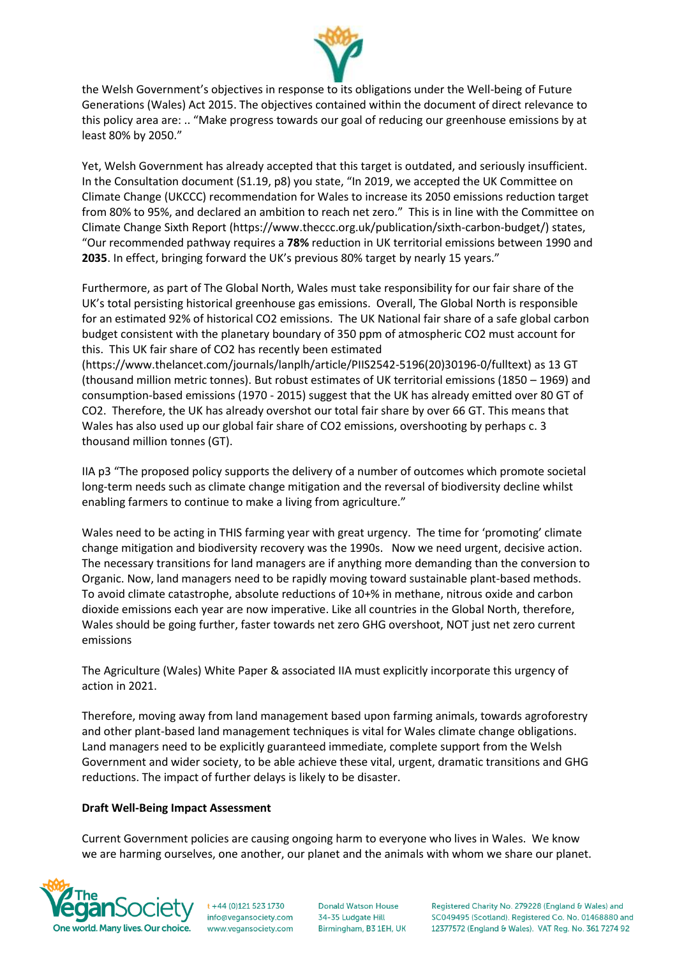

the Welsh Government's objectives in response to its obligations under the Well-being of Future Generations (Wales) Act 2015. The objectives contained within the document of direct relevance to this policy area are: .. "Make progress towards our goal of reducing our greenhouse emissions by at least 80% by 2050."

Yet, Welsh Government has already accepted that this target is outdated, and seriously insufficient. In the Consultation document (S1.19, p8) you state, "In 2019, we accepted the UK Committee on Climate Change (UKCCC) recommendation for Wales to increase its 2050 emissions reduction target from 80% to 95%, and declared an ambition to reach net zero." This is in line with the Committee on Climate Change Sixth Report (https://www.theccc.org.uk/publication/sixth-carbon-budget/) states, "Our recommended pathway requires a **78%** reduction in UK territorial emissions between 1990 and **2035**. In effect, bringing forward the UK's previous 80% target by nearly 15 years."

Furthermore, as part of The Global North, Wales must take responsibility for our fair share of the UK's total persisting historical greenhouse gas emissions. Overall, The Global North is responsible for an estimated 92% of historical CO2 emissions. The UK National fair share of a safe global carbon budget consistent with the planetary boundary of 350 ppm of atmospheric CO2 must account for this. This UK fair share of CO2 has recently been estimated

(https://www.thelancet.com/journals/lanplh/article/PIIS2542-5196(20)30196-0/fulltext) as 13 GT (thousand million metric tonnes). But robust estimates of UK territorial emissions (1850 – 1969) and consumption-based emissions (1970 - 2015) suggest that the UK has already emitted over 80 GT of CO2. Therefore, the UK has already overshot our total fair share by over 66 GT. This means that Wales has also used up our global fair share of CO2 emissions, overshooting by perhaps c. 3 thousand million tonnes (GT).

IIA p3 "The proposed policy supports the delivery of a number of outcomes which promote societal long-term needs such as climate change mitigation and the reversal of biodiversity decline whilst enabling farmers to continue to make a living from agriculture."

Wales need to be acting in THIS farming year with great urgency. The time for 'promoting' climate change mitigation and biodiversity recovery was the 1990s. Now we need urgent, decisive action. The necessary transitions for land managers are if anything more demanding than the conversion to Organic. Now, land managers need to be rapidly moving toward sustainable plant-based methods. To avoid climate catastrophe, absolute reductions of 10+% in methane, nitrous oxide and carbon dioxide emissions each year are now imperative. Like all countries in the Global North, therefore, Wales should be going further, faster towards net zero GHG overshoot, NOT just net zero current emissions

The Agriculture (Wales) White Paper & associated IIA must explicitly incorporate this urgency of action in 2021.

Therefore, moving away from land management based upon farming animals, towards agroforestry and other plant-based land management techniques is vital for Wales climate change obligations. Land managers need to be explicitly guaranteed immediate, complete support from the Welsh Government and wider society, to be able achieve these vital, urgent, dramatic transitions and GHG reductions. The impact of further delays is likely to be disaster.

## **Draft Well-Being Impact Assessment**

Current Government policies are causing ongoing harm to everyone who lives in Wales. We know we are harming ourselves, one another, our planet and the animals with whom we share our planet.



 $t + 44 (0)121 523 1730$ info@vegansociety.com www.vegansociety.com

**Donald Watson House** 34-35 Ludgate Hill Birmingham, B3 1EH, UK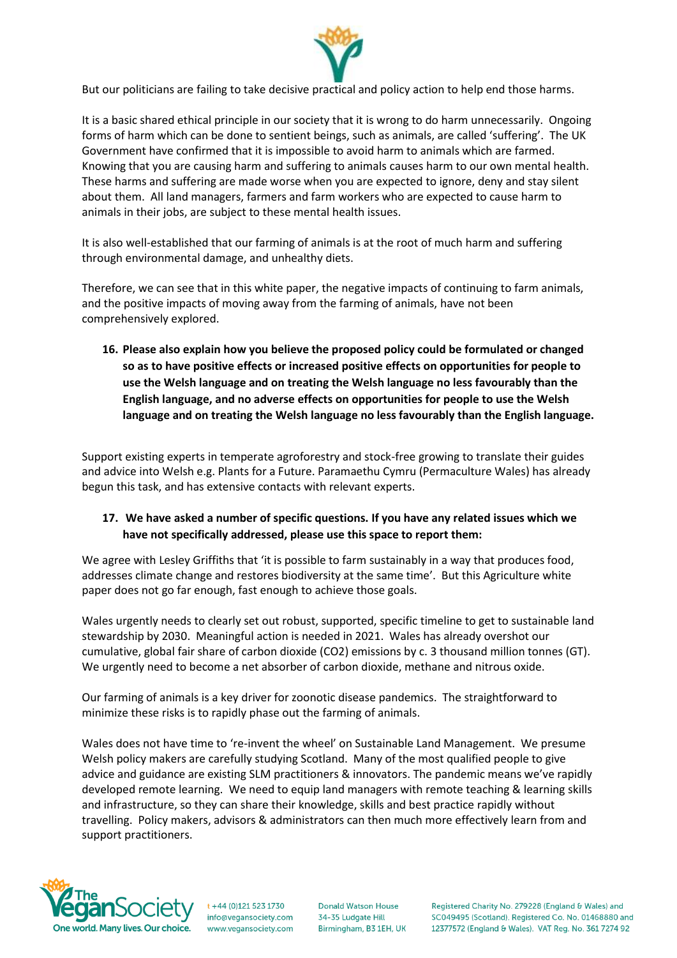

But our politicians are failing to take decisive practical and policy action to help end those harms.

It is a basic shared ethical principle in our society that it is wrong to do harm unnecessarily. Ongoing forms of harm which can be done to sentient beings, such as animals, are called 'suffering'. The UK Government have confirmed that it is impossible to avoid harm to animals which are farmed. Knowing that you are causing harm and suffering to animals causes harm to our own mental health. These harms and suffering are made worse when you are expected to ignore, deny and stay silent about them. All land managers, farmers and farm workers who are expected to cause harm to animals in their jobs, are subject to these mental health issues.

It is also well-established that our farming of animals is at the root of much harm and suffering through environmental damage, and unhealthy diets.

Therefore, we can see that in this white paper, the negative impacts of continuing to farm animals, and the positive impacts of moving away from the farming of animals, have not been comprehensively explored.

**16. Please also explain how you believe the proposed policy could be formulated or changed so as to have positive effects or increased positive effects on opportunities for people to use the Welsh language and on treating the Welsh language no less favourably than the English language, and no adverse effects on opportunities for people to use the Welsh language and on treating the Welsh language no less favourably than the English language.**

Support existing experts in temperate agroforestry and stock-free growing to translate their guides and advice into Welsh e.g. Plants for a Future. Paramaethu Cymru (Permaculture Wales) has already begun this task, and has extensive contacts with relevant experts.

# **17. We have asked a number of specific questions. If you have any related issues which we have not specifically addressed, please use this space to report them:**

We agree with Lesley Griffiths that 'it is possible to farm sustainably in a way that produces food, addresses climate change and restores biodiversity at the same time'. But this Agriculture white paper does not go far enough, fast enough to achieve those goals.

Wales urgently needs to clearly set out robust, supported, specific timeline to get to sustainable land stewardship by 2030. Meaningful action is needed in 2021. Wales has already overshot our cumulative, global fair share of carbon dioxide (CO2) emissions by c. 3 thousand million tonnes (GT). We urgently need to become a net absorber of carbon dioxide, methane and nitrous oxide.

Our farming of animals is a key driver for zoonotic disease pandemics. The straightforward to minimize these risks is to rapidly phase out the farming of animals.

Wales does not have time to 're-invent the wheel' on Sustainable Land Management. We presume Welsh policy makers are carefully studying Scotland. Many of the most qualified people to give advice and guidance are existing SLM practitioners & innovators. The pandemic means we've rapidly developed remote learning. We need to equip land managers with remote teaching & learning skills and infrastructure, so they can share their knowledge, skills and best practice rapidly without travelling. Policy makers, advisors & administrators can then much more effectively learn from and support practitioners.



 $t + 44 (0)121 523 1730$ info@vegansociety.com www.vegansociety.com **Donald Watson House** 34-35 Ludgate Hill Birmingham, B3 1EH, UK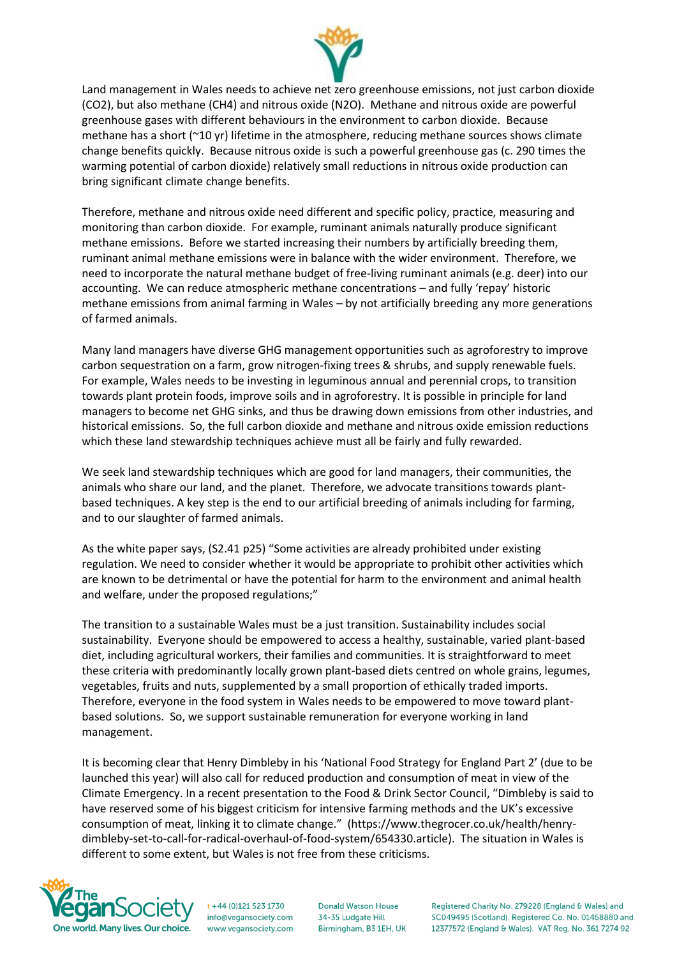

Land management in Wales needs to achieve net zero greenhouse emissions, not just carbon dioxide (CO2), but also methane (CH4) and nitrous oxide (N2O). Methane and nitrous oxide are powerful greenhouse gases with different behaviours in the environment to carbon dioxide. Because methane has a short (~10 yr) lifetime in the atmosphere, reducing methane sources shows climate change benefits quickly. Because nitrous oxide is such a powerful greenhouse gas (c. 290 times the warming potential of carbon dioxide) relatively small reductions in nitrous oxide production can bring significant climate change benefits.

Therefore, methane and nitrous oxide need different and specific policy, practice, measuring and monitoring than carbon dioxide. For example, ruminant animals naturally produce significant methane emissions. Before we started increasing their numbers by artificially breeding them, ruminant animal methane emissions were in balance with the wider environment. Therefore, we need to incorporate the natural methane budget of free-living ruminant animals (e.g. deer) into our accounting. We can reduce atmospheric methane concentrations – and fully 'repay' historic methane emissions from animal farming in Wales – by not artificially breeding any more generations of farmed animals.

Many land managers have diverse GHG management opportunities such as agroforestry to improve carbon sequestration on a farm, grow nitrogen-fixing trees & shrubs, and supply renewable fuels. For example, Wales needs to be investing in leguminous annual and perennial crops, to transition towards plant protein foods, improve soils and in agroforestry. It is possible in principle for land managers to become net GHG sinks, and thus be drawing down emissions from other industries, and historical emissions. So, the full carbon dioxide and methane and nitrous oxide emission reductions which these land stewardship techniques achieve must all be fairly and fully rewarded.

We seek land stewardship techniques which are good for land managers, their communities, the animals who share our land, and the planet. Therefore, we advocate transitions towards plantbased techniques. A key step is the end to our artificial breeding of animals including for farming, and to our slaughter of farmed animals.

As the white paper says, (S2.41 p25) "Some activities are already prohibited under existing regulation. We need to consider whether it would be appropriate to prohibit other activities which are known to be detrimental or have the potential for harm to the environment and animal health and welfare, under the proposed regulations;"

The transition to a sustainable Wales must be a just transition. Sustainability includes social sustainability. Everyone should be empowered to access a healthy, sustainable, varied plant-based diet, including agricultural workers, their families and communities. It is straightforward to meet these criteria with predominantly locally grown plant-based diets centred on whole grains, legumes, vegetables, fruits and nuts, supplemented by a small proportion of ethically traded imports. Therefore, everyone in the food system in Wales needs to be empowered to move toward plantbased solutions. So, we support sustainable remuneration for everyone working in land management.

It is becoming clear that Henry Dimbleby in his 'National Food Strategy for England Part 2' (due to be launched this year) will also call for reduced production and consumption of meat in view of the Climate Emergency. In a recent presentation to the Food & Drink Sector Council, "Dimbleby is said to have reserved some of his biggest criticism for intensive farming methods and the UK's excessive consumption of meat, linking it to climate change." (https://www.thegrocer.co.uk/health/henrydimbleby-set-to-call-for-radical-overhaul-of-food-system/654330.article). The situation in Wales is different to some extent, but Wales is not free from these criticisms.



 $t + 44 (0)121 523 1730$ info@vegansociety.com www.vegansociety.com

**Donald Watson House** 34-35 Ludgate Hill Birmingham, B3 1EH, UK